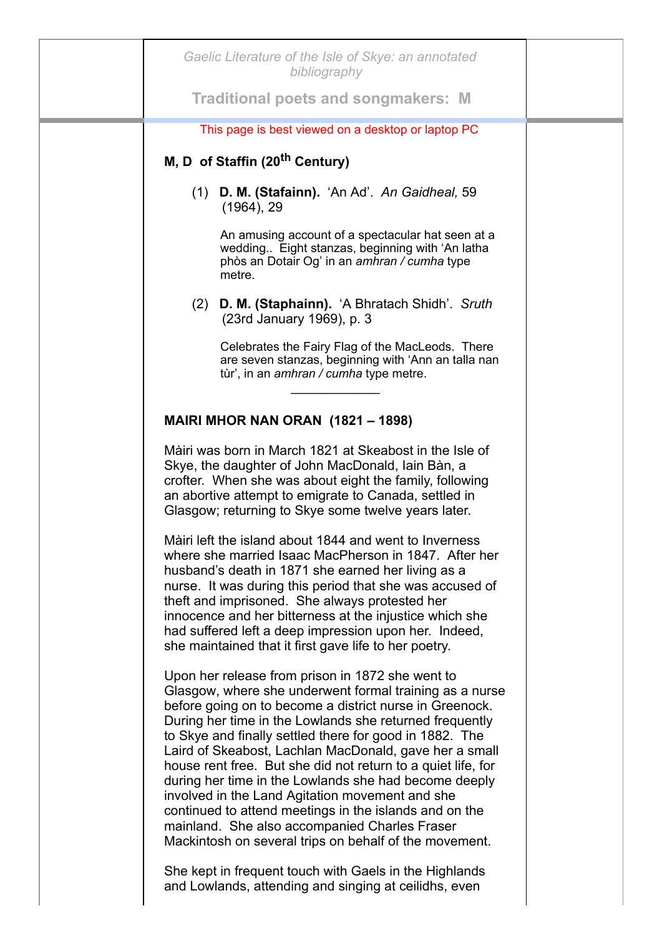| Gaelic Literature of the Isle of Skye: an annotated<br>bibliography                                                                                                                                                                                                                                                                                                                                                                                                                                                                                                                                                                                                                                     |  |
|---------------------------------------------------------------------------------------------------------------------------------------------------------------------------------------------------------------------------------------------------------------------------------------------------------------------------------------------------------------------------------------------------------------------------------------------------------------------------------------------------------------------------------------------------------------------------------------------------------------------------------------------------------------------------------------------------------|--|
| <b>Traditional poets and songmakers: M</b>                                                                                                                                                                                                                                                                                                                                                                                                                                                                                                                                                                                                                                                              |  |
| This page is best viewed on a desktop or laptop PC                                                                                                                                                                                                                                                                                                                                                                                                                                                                                                                                                                                                                                                      |  |
| M, D of Staffin (20 <sup>th</sup> Century)                                                                                                                                                                                                                                                                                                                                                                                                                                                                                                                                                                                                                                                              |  |
| (1) D. M. (Stafainn). 'An Ad'. An Gaidheal, 59<br>$(1964)$ , 29                                                                                                                                                                                                                                                                                                                                                                                                                                                                                                                                                                                                                                         |  |
| An amusing account of a spectacular hat seen at a<br>wedding Eight stanzas, beginning with 'An latha<br>phòs an Dotair Og' in an amhran / cumha type<br>metre.                                                                                                                                                                                                                                                                                                                                                                                                                                                                                                                                          |  |
| (2) D. M. (Staphainn). 'A Bhratach Shidh'. Sruth<br>(23rd January 1969), p. 3                                                                                                                                                                                                                                                                                                                                                                                                                                                                                                                                                                                                                           |  |
| Celebrates the Fairy Flag of the MacLeods. There<br>are seven stanzas, beginning with 'Ann an talla nan<br>tùr', in an <i>amhran / cumha</i> type metre.                                                                                                                                                                                                                                                                                                                                                                                                                                                                                                                                                |  |
| <b>MAIRI MHOR NAN ORAN (1821 – 1898)</b>                                                                                                                                                                                                                                                                                                                                                                                                                                                                                                                                                                                                                                                                |  |
| Màiri was born in March 1821 at Skeabost in the Isle of<br>Skye, the daughter of John MacDonald, Iain Bàn, a<br>crofter. When she was about eight the family, following<br>an abortive attempt to emigrate to Canada, settled in<br>Glasgow; returning to Skye some twelve years later.                                                                                                                                                                                                                                                                                                                                                                                                                 |  |
| Màiri left the island about 1844 and went to Inverness<br>where she married Isaac MacPherson in 1847. After her<br>husband's death in 1871 she earned her living as a<br>nurse. It was during this period that she was accused of<br>theft and imprisoned. She always protested her<br>innocence and her bitterness at the injustice which she<br>had suffered left a deep impression upon her. Indeed,<br>she maintained that it first gave life to her poetry.                                                                                                                                                                                                                                        |  |
| Upon her release from prison in 1872 she went to<br>Glasgow, where she underwent formal training as a nurse<br>before going on to become a district nurse in Greenock.<br>During her time in the Lowlands she returned frequently<br>to Skye and finally settled there for good in 1882. The<br>Laird of Skeabost, Lachlan MacDonald, gave her a small<br>house rent free. But she did not return to a quiet life, for<br>during her time in the Lowlands she had become deeply<br>involved in the Land Agitation movement and she<br>continued to attend meetings in the islands and on the<br>mainland. She also accompanied Charles Fraser<br>Mackintosh on several trips on behalf of the movement. |  |
| She kept in frequent touch with Gaels in the Highlands<br>and Lowlands, attending and singing at ceilidhs, even                                                                                                                                                                                                                                                                                                                                                                                                                                                                                                                                                                                         |  |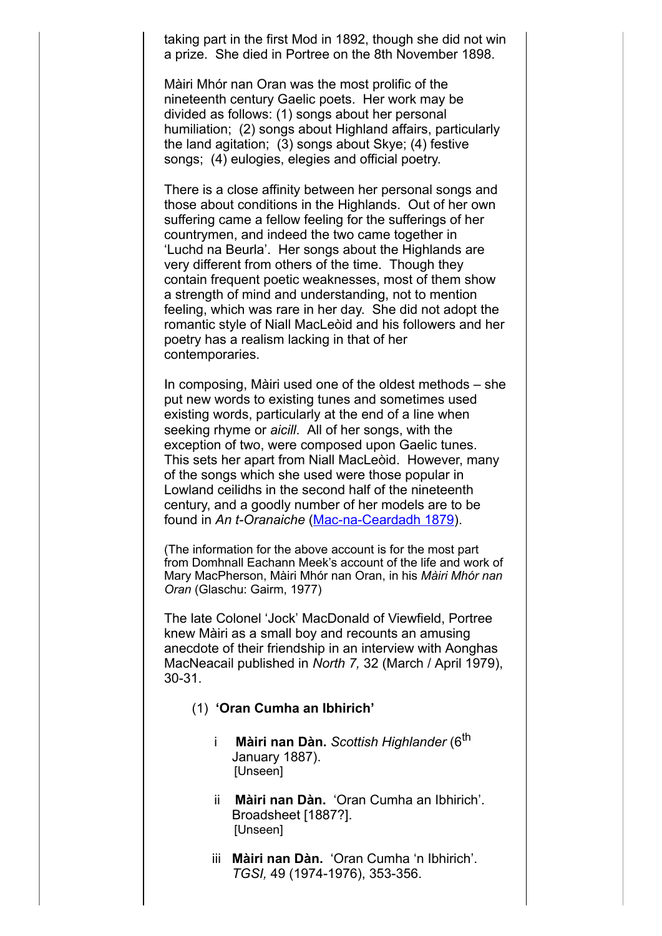taking part in the first Mod in 1892, though she did not win a prize. She died in Portree on the 8th November 1898.

Màiri Mhór nan Oran was the most prolific of the nineteenth century Gaelic poets. Her work may be divided as follows: (1) songs about her personal humiliation; (2) songs about Highland affairs, particularly the land agitation; (3) songs about Skye; (4) festive songs; (4) eulogies, elegies and official poetry.

There is a close affinity between her personal songs and those about conditions in the Highlands. Out of her own suffering came a fellow feeling for the sufferings of her countrymen, and indeed the two came together in 'Luchd na Beurla'. Her songs about the Highlands are very different from others of the time. Though they contain frequent poetic weaknesses, most of them show a strength of mind and understanding, not to mention feeling, which was rare in her day. She did not adopt the romantic style of Niall MacLeòid and his followers and her poetry has a realism lacking in that of her contemporaries.

In composing, Màiri used one of the oldest methods – she put new words to existing tunes and sometimes used existing words, particularly at the end of a line when seeking rhyme or *aicill*. All of her songs, with the exception of two, were composed upon Gaelic tunes. This sets her apart from Niall MacLeòid. However, many of the songs which she used were those popular in Lowland ceilidhs in the second half of the nineteenth century, and a goodly number of her models are to be found in *An t-Oranaiche* ([Mac-na-Ceardadh 1879\)](http://www.skyelit.co.uk/refs3.html).

(The information for the above account is for the most part from Domhnall Eachann Meek's account of the life and work of Mary MacPherson, Màiri Mhór nan Oran, in his *Màiri Mhór nan Oran* (Glaschu: Gairm, 1977)

The late Colonel 'Jock' MacDonald of Viewfield, Portree knew Màiri as a small boy and recounts an amusing anecdote of their friendship in an interview with Aonghas MacNeacail published in *North 7,* 32 (March / April 1979), 30-31.

- (1) **'Oran Cumha an Ibhirich'**
	- i **Màiri nan Dàn.** *Scottish Highlander* (6th January 1887). [Unseen]
	- ii **Màiri nan Dàn.** 'Oran Cumha an Ibhirich'. Broadsheet [1887?]. [Unseen]
	- iii **Màiri nan Dàn.** 'Oran Cumha 'n Ibhirich'. *TGSI,* 49 (1974-1976), 353-356.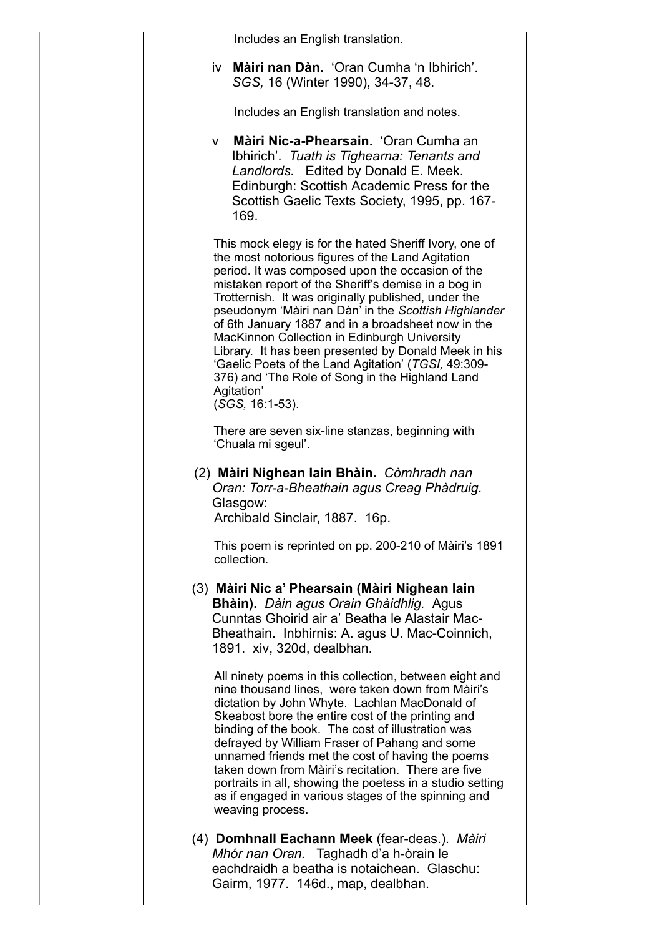Includes an English translation.

iv **Màiri nan Dàn.** 'Oran Cumha 'n Ibhirich'. *SGS,* 16 (Winter 1990), 34-37, 48.

Includes an English translation and notes.

v **Màiri Nic-a-Phearsain.** 'Oran Cumha an Ibhirich'. *Tuath is Tighearna: Tenants and Landlords.* Edited by Donald E. Meek. Edinburgh: Scottish Academic Press for the Scottish Gaelic Texts Society, 1995, pp. 167- 169.

This mock elegy is for the hated Sheriff Ivory, one of the most notorious figures of the Land Agitation period. It was composed upon the occasion of the mistaken report of the Sheriff's demise in a bog in Trotternish. It was originally published, under the pseudonym 'Màiri nan Dàn' in the *Scottish Highlander* of 6th January 1887 and in a broadsheet now in the MacKinnon Collection in Edinburgh University Library. It has been presented by Donald Meek in his 'Gaelic Poets of the Land Agitation' (*TGSI,* 49:309- 376) and 'The Role of Song in the Highland Land Agitation' (*SGS,* 16:1-53).

There are seven six-line stanzas, beginning with 'Chuala mi sgeul'.

(2) **Màiri Nighean Iain Bhàin.** *Còmhradh nan Oran: Torr-a-Bheathain agus Creag Phàdruig.* Glasgow: Archibald Sinclair, 1887. 16p.

This poem is reprinted on pp. 200-210 of Màiri's 1891 collection.

(3) **Màiri Nic a' Phearsain (Màiri Nighean Iain Bhàin).** *Dàin agus Orain Ghàidhlig.* Agus Cunntas Ghoirid air a' Beatha le Alastair Mac-Bheathain. Inbhirnis: A. agus U. Mac-Coinnich, 1891. xiv, 320d, dealbhan.

All ninety poems in this collection, between eight and nine thousand lines, were taken down from Màiri's dictation by John Whyte. Lachlan MacDonald of Skeabost bore the entire cost of the printing and binding of the book. The cost of illustration was defrayed by William Fraser of Pahang and some unnamed friends met the cost of having the poems taken down from Màiri's recitation. There are five portraits in all, showing the poetess in a studio setting as if engaged in various stages of the spinning and weaving process.

(4) **Domhnall Eachann Meek** (fear-deas.). *Màiri Mhór nan Oran.* Taghadh d'a h-òrain le eachdraidh a beatha is notaichean. Glaschu: Gairm, 1977. 146d., map, dealbhan.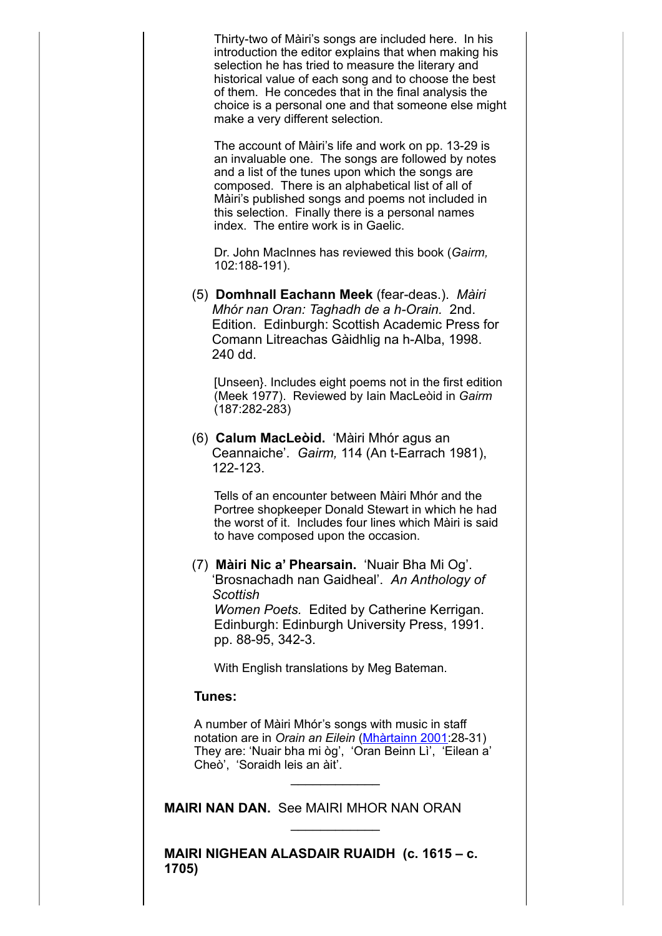Thirty-two of Màiri's songs are included here. In his introduction the editor explains that when making his selection he has tried to measure the literary and historical value of each song and to choose the best of them. He concedes that in the final analysis the choice is a personal one and that someone else might make a very different selection.

The account of Màiri's life and work on pp. 13-29 is an invaluable one. The songs are followed by notes and a list of the tunes upon which the songs are composed. There is an alphabetical list of all of Màiri's published songs and poems not included in this selection. Finally there is a personal names index. The entire work is in Gaelic.

Dr. John MacInnes has reviewed this book (*Gairm,* 102:188-191).

(5) **Domhnall Eachann Meek** (fear-deas.). *Màiri Mhór nan Oran: Taghadh de a h-Orain.* 2nd. Edition. Edinburgh: Scottish Academic Press for Comann Litreachas Gàidhlig na h-Alba, 1998. 240 dd.

[Unseen}. Includes eight poems not in the first edition (Meek 1977). Reviewed by Iain MacLeòid in *Gairm* (187:282-283)

(6) **Calum MacLeòid.** 'Màiri Mhór agus an Ceannaiche'. *Gairm,* 114 (An t-Earrach 1981), 122-123.

Tells of an encounter between Màiri Mhór and the Portree shopkeeper Donald Stewart in which he had the worst of it. Includes four lines which Màiri is said to have composed upon the occasion.

#### (7) **Màiri Nic a' Phearsain.** 'Nuair Bha Mi Og'. 'Brosnachadh nan Gaidheal'. *An Anthology of Scottish Women Poets.* Edited by Catherine Kerrigan. Edinburgh: Edinburgh University Press, 1991. pp. 88-95, 342-3.

With English translations by Meg Bateman.

# **Tunes:**

A number of Màiri Mhór's songs with music in staff notation are in *Orain an Eilein* [\(Mhàrtainn](http://www.skyelit.co.uk/refs3.html) 2001:28-31) They are: 'Nuair bha mi òg', 'Oran Beinn Lì', 'Eilean a' Cheò', 'Soraidh leis an àit'.

 $\frac{1}{2}$ 

 $\frac{1}{2}$ 

**MAIRI NAN DAN.** See MAIRI MHOR NAN ORAN

**MAIRI NIGHEAN ALASDAIR RUAIDH (c. 1615 – c. 1705)**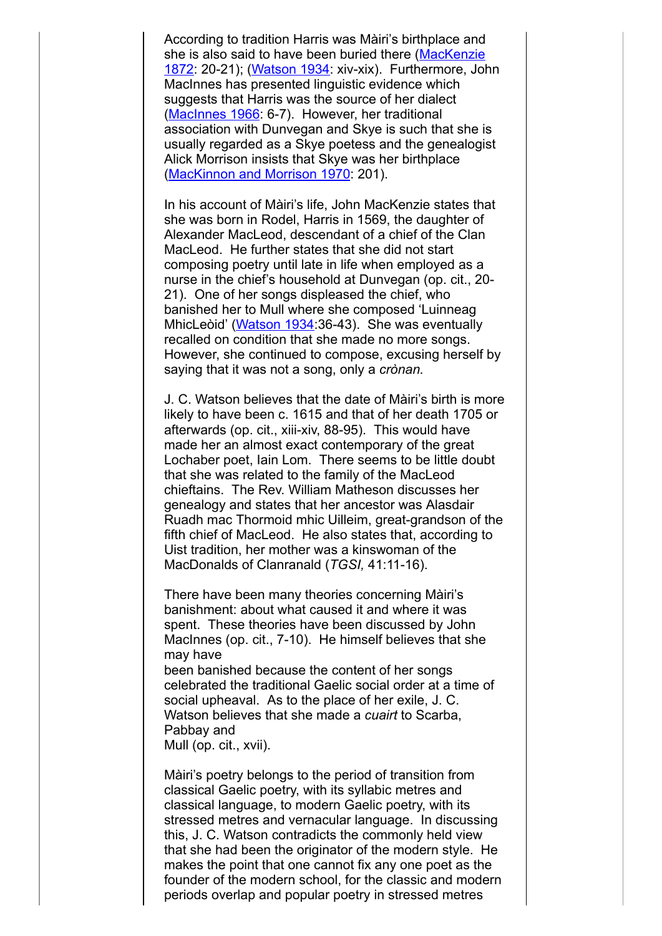According to tradition Harris was Màiri's birthplace and [she is also said to have been buried there \(MacKenzie](http://www.skyelit.co.uk/refs2.html) 1872: 20-21); [\(Watson 1934:](http://www.skyelit.co.uk/refs3.html) xiv-xix). Furthermore, John MacInnes has presented linguistic evidence which suggests that Harris was the source of her dialect [\(MacInnes 1966:](http://www.skyelit.co.uk/refs2.html) 6-7). However, her traditional association with Dunvegan and Skye is such that she is usually regarded as a Skye poetess and the genealogist Alick Morrison insists that Skye was her birthplace [\(MacKinnon and Morrison 1970](http://www.skyelit.co.uk/refs2.html): 201).

In his account of Màiri's life, John MacKenzie states that she was born in Rodel, Harris in 1569, the daughter of Alexander MacLeod, descendant of a chief of the Clan MacLeod. He further states that she did not start composing poetry until late in life when employed as a nurse in the chief's household at Dunvegan (op. cit., 20- 21). One of her songs displeased the chief, who banished her to Mull where she composed 'Luinneag MhicLeòid' [\(Watson 1934:](http://www.skyelit.co.uk/refs3.html) 36-43). She was eventually recalled on condition that she made no more songs. However, she continued to compose, excusing herself by saying that it was not a song, only a *crònan.*

J. C. Watson believes that the date of Màiri's birth is more likely to have been c. 1615 and that of her death 1705 or afterwards (op. cit., xiii-xiv, 88-95). This would have made her an almost exact contemporary of the great Lochaber poet, Iain Lom. There seems to be little doubt that she was related to the family of the MacLeod chieftains. The Rev. William Matheson discusses her genealogy and states that her ancestor was Alasdair Ruadh mac Thormoid mhic Uilleim, great-grandson of the fifth chief of MacLeod. He also states that, according to Uist tradition, her mother was a kinswoman of the MacDonalds of Clanranald (*TGSI,* 41:11-16).

There have been many theories concerning Màiri's banishment: about what caused it and where it was spent. These theories have been discussed by John MacInnes (op. cit., 7-10). He himself believes that she may have

been banished because the content of her songs celebrated the traditional Gaelic social order at a time of social upheaval. As to the place of her exile, J. C. Watson believes that she made a *cuairt* to Scarba, Pabbay and Mull (op. cit., xvii).

Màiri's poetry belongs to the period of transition from classical Gaelic poetry, with its syllabic metres and classical language, to modern Gaelic poetry, with its stressed metres and vernacular language. In discussing this, J. C. Watson contradicts the commonly held view that she had been the originator of the modern style. He makes the point that one cannot fix any one poet as the founder of the modern school, for the classic and modern periods overlap and popular poetry in stressed metres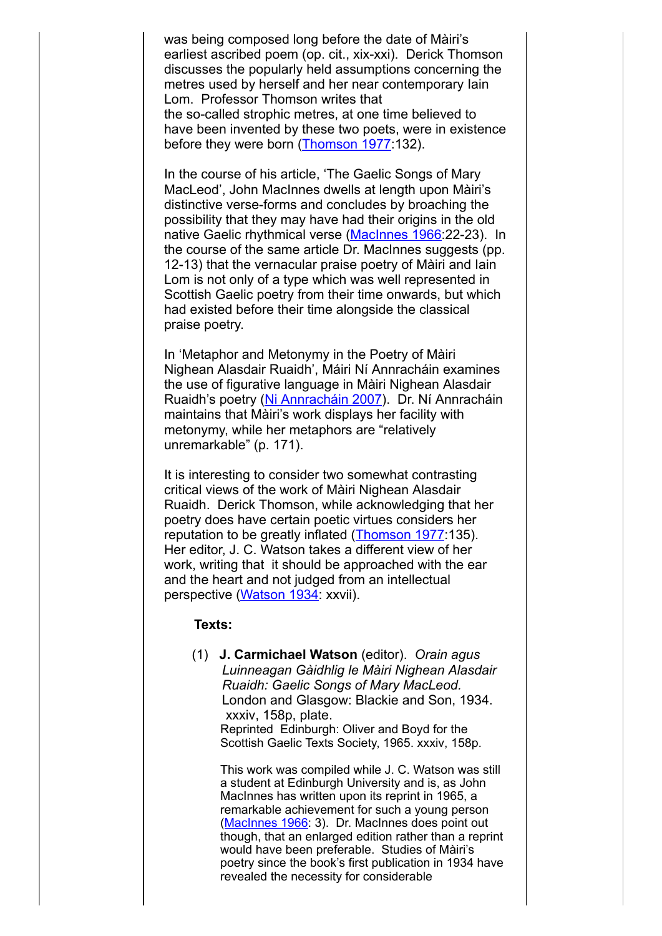was being composed long before the date of Màiri's earliest ascribed poem (op. cit., xix-xxi). Derick Thomson discusses the popularly held assumptions concerning the metres used by herself and her near contemporary Iain Lom. Professor Thomson writes that the so-called strophic metres, at one time believed to have been invented by these two poets, were in existence before they were born ([Thomson 1977:](http://www.skyelit.co.uk/refs3.html)132).

In the course of his article, 'The Gaelic Songs of Mary MacLeod', John MacInnes dwells at length upon Màiri's distinctive verse-forms and concludes by broaching the possibility that they may have had their origins in the old native Gaelic rhythmical verse [\(MacInnes 1966](http://www.skyelit.co.uk/refs2.html):22-23). In the course of the same article Dr. MacInnes suggests (pp. 12-13) that the vernacular praise poetry of Màiri and Iain Lom is not only of a type which was well represented in Scottish Gaelic poetry from their time onwards, but which had existed before their time alongside the classical praise poetry.

In 'Metaphor and Metonymy in the Poetry of Màiri Nighean Alasdair Ruaidh', Máiri Ní Annracháin examines the use of figurative language in Màiri Nighean Alasdair Ruaidh's poetry [\(Ni Annracháin 2007](http://www.skyelit.co.uk/refs3.html)). Dr. Ní Annracháin maintains that Màiri's work displays her facility with metonymy, while her metaphors are "relatively unremarkable" (p. 171).

It is interesting to consider two somewhat contrasting critical views of the work of Màiri Nighean Alasdair Ruaidh. Derick Thomson, while acknowledging that her poetry does have certain poetic virtues considers her reputation to be greatly inflated ([Thomson 1977:](http://www.skyelit.co.uk/refs3.html)135). Her editor, J. C. Watson takes a different view of her work, writing that it should be approached with the ear and the heart and not judged from an intellectual perspective ([Watson 1934](http://www.skyelit.co.uk/refs3.html): xxvii).

#### **Texts:**

(1) **J. Carmichael Watson** (editor). *Orain agus Luinneagan Gàidhlig le Màiri Nighean Alasdair Ruaidh: Gaelic Songs of Mary MacLeod.* London and Glasgow: Blackie and Son, 1934. xxxiv, 158p, plate. Reprinted Edinburgh: Oliver and Boyd for the Scottish Gaelic Texts Society, 1965. xxxiv, 158p.

This work was compiled while J. C. Watson was still a student at Edinburgh University and is, as John MacInnes has written upon its reprint in 1965, a remarkable achievement for such a young person ([MacInnes](http://www.skyelit.co.uk/refs2.html) 1966: 3). Dr. MacInnes does point out though, that an enlarged edition rather than a reprint would have been preferable. Studies of Màiri's poetry since the book's first publication in 1934 have revealed the necessity for considerable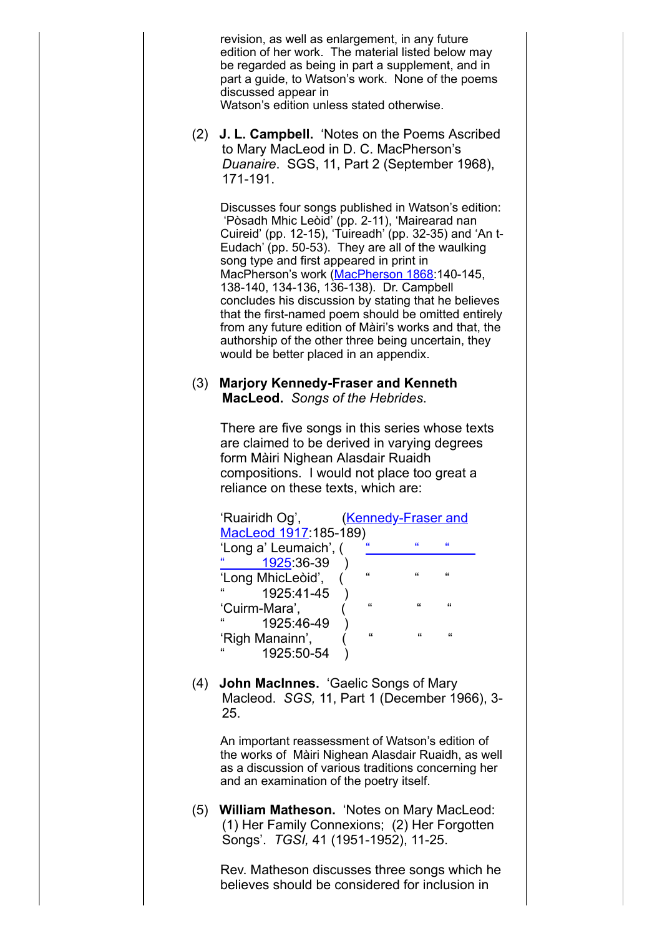revision, as well as enlargement, in any future edition of her work. The material listed below may be regarded as being in part a supplement, and in part a guide, to Watson's work. None of the poems discussed appear in Watson's edition unless stated otherwise.

(2) **J. L. Campbell.** 'Notes on the Poems Ascribed to Mary MacLeod in D. C. MacPherson's *Duanaire*. SGS, 11, Part 2 (September 1968), 171-191.

Discusses four songs published in Watson's edition: 'Pòsadh Mhic Leòid' (pp. 2-11), 'Mairearad nan Cuireid' (pp. 12-15), 'Tuireadh' (pp. 32-35) and 'An t-Eudach' (pp. 50-53). They are all of the waulking song type and first appeared in print in [MacPherson](http://www.skyelit.co.uk/refs3.html)'s work (MacPherson 1868:140-145, 138-140, 134-136, 136-138). Dr. Campbell concludes his discussion by stating that he believes that the first-named poem should be omitted entirely from any future edition of Màiri's works and that, the authorship of the other three being uncertain, they would be better placed in an appendix.

# (3) **Marjory Kennedy-Fraser and Kenneth MacLeod.** *Songs of the Hebrides*.

There are five songs in this series whose texts are claimed to be derived in varying degrees form Màiri Nighean Alasdair Ruaidh compositions. I would not place too great a reliance on these texts, which are:

| 'Ruairidh Og',             |  | <b>Kennedy-Fraser and</b> |                |            |  |
|----------------------------|--|---------------------------|----------------|------------|--|
| MacLeod 1917:185-189)      |  |                           |                |            |  |
| 'Long a' Leumaich', (      |  | $\alpha$                  | $\epsilon$     | $\epsilon$ |  |
| $\alpha$<br>1925 36-39     |  |                           |                |            |  |
| 'Long MhicLeòid',          |  | $\epsilon$                | $\epsilon$     | $\epsilon$ |  |
| $\mathbf{f}$<br>1925:41-45 |  |                           |                |            |  |
| 'Cuirm-Mara',              |  | $\epsilon$                | $\mathfrak{c}$ | $\epsilon$ |  |
| "<br>1925:46-49            |  |                           |                |            |  |
| 'Righ Manainn',            |  | $\epsilon$                | $\epsilon$     | $\epsilon$ |  |
| $\epsilon$<br>1925:50-54   |  |                           |                |            |  |

(4) **John MacInnes.** 'Gaelic Songs of Mary Macleod. *SGS,* 11, Part 1 (December 1966), 3- 25.

An important reassessment of Watson's edition of the works of Màiri Nighean Alasdair Ruaidh, as well as a discussion of various traditions concerning her and an examination of the poetry itself.

(5) **William Matheson.** 'Notes on Mary MacLeod: (1) Her Family Connexions; (2) Her Forgotten Songs'. *TGSI,* 41 (1951-1952), 11-25.

Rev. Matheson discusses three songs which he believes should be considered for inclusion in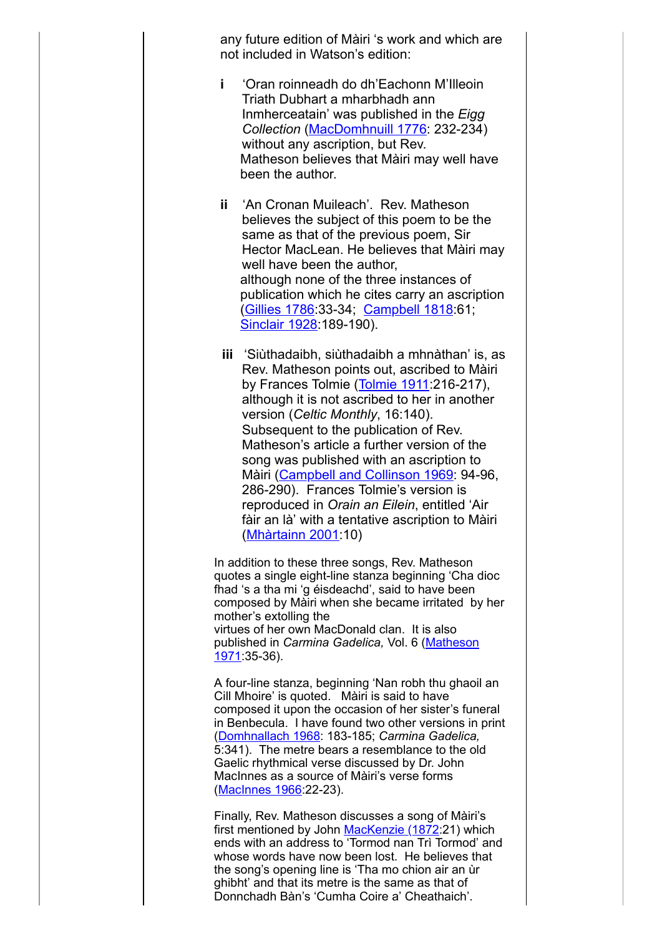any future edition of Màiri 's work and which are not included in Watson's edition:

- **i** 'Oran roinneadh do dh'Eachonn M'Illeoin Triath Dubhart a mharbhadh ann Inmherceatain' was published in the *Eigg Collection* ([MacDomhnuill 1776:](http://www.skyelit.co.uk/refs2.html) 232-234) without any ascription, but Rev. Matheson believes that Màiri may well have been the author.
- **ii** 'An Cronan Muileach'. Rev. Matheson believes the subject of this poem to be the same as that of the previous poem, Sir Hector MacLean. He believes that Màiri may well have been the author, although none of the three instances of publication which he cites carry an ascription [\(Gillies 1786:](http://www.skyelit.co.uk/refs1.html)33-34; [Campbell 1818:](http://www.skyelit.co.uk/refs1.html)61; [Sinclair 1928:](http://www.skyelit.co.uk/refs3.html)189-190).
- **iii** 'Siùthadaibh, siùthadaibh a mhnàthan' is, as Rev. Matheson points out, ascribed to Màiri by Frances Tolmie [\(Tolmie 1911](http://www.skyelit.co.uk/refs3.html):216-217), although it is not ascribed to her in another version (*Celtic Monthly*, 16:140). Subsequent to the publication of Rev. Matheson's article a further version of the song was published with an ascription to Màiri [\(Campbell and Collinson 1969:](http://www.skyelit.co.uk/refs1.html) 94-96, 286-290). Frances Tolmie's version is reproduced in *Orain an Eilein*, entitled 'Air fàir an là' with a tentative ascription to Màiri ([Mhàrtainn 2001](http://www.skyelit.co.uk/refs3.html):10)

In addition to these three songs, Rev. Matheson quotes a single eight-line stanza beginning 'Cha dioc fhad 's a tha mi 'g éisdeachd', said to have been composed by Màiri when she became irritated by her mother's extolling the virtues of her own MacDonald clan. It is also published in *Carmina Gadelica,* Vol. 6 (Matheson [1971:35-36\).](http://www.skyelit.co.uk/refs3.html)

A four-line stanza, beginning 'Nan robh thu ghaoil an Cill Mhoire' is quoted. Màiri is said to have composed it upon the occasion of her sister's funeral in Benbecula. I have found two other versions in print [\(Domhnallach](http://www.skyelit.co.uk/refs1.html) 1968: 183-185; *Carmina Gadelica,* 5:341). The metre bears a resemblance to the old Gaelic rhythmical verse discussed by Dr. John MacInnes as a source of Màiri's verse forms [\(MacInnes](http://www.skyelit.co.uk/refs2.html) 1966:22-23).

Finally, Rev. Matheson discusses a song of Màiri's first mentioned by John [MacKenzie](http://www.skyelit.co.uk/refs2.html) (1872:21) which ends with an address to 'Tormod nan Trì Tormod' and whose words have now been lost. He believes that the song's opening line is 'Tha mo chion air an ùr ghibht' and that its metre is the same as that of Donnchadh Bàn's 'Cumha Coire a' Cheathaich'.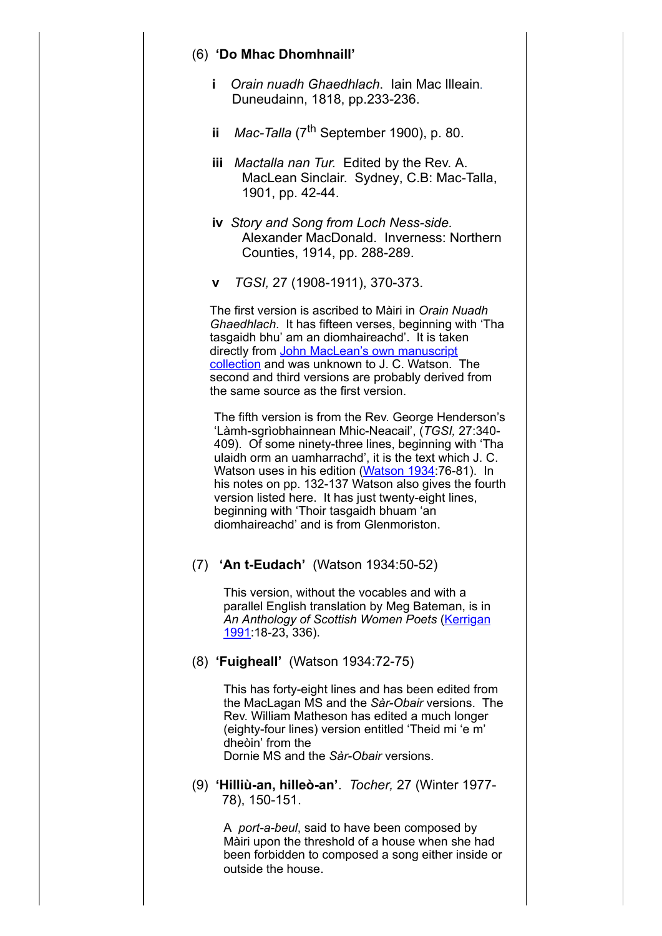### (6) **'Do Mhac Dhomhnaill'**

- **i** *Orain nuadh Ghaedhlach*. Iain Mac Illeain. Duneudainn, 1818, pp.233-236.
- **ii** *Mac-Talla* (7<sup>th</sup> September 1900), p. 80.
- **iii** *Mactalla nan Tur.* Edited by the Rev. A. MacLean Sinclair. Sydney, C.B: Mac-Talla, 1901, pp. 42-44.
- **iv** *Story and Song from Loch Ness-side.* Alexander MacDonald. Inverness: Northern Counties, 1914, pp. 288-289.
- **v** *TGSI,* 27 (1908-1911), 370-373.

The first version is ascribed to Màiri in *Orain Nuadh Ghaedhlach*. It has fifteen verses, beginning with 'Tha tasgaidh bhu' am an diomhaireachd'. It is taken directly from John MacLean's own [manuscript](http://www.skyelit.co.uk/refs4.html) collection and was unknown to J. C. Watson. The second and third versions are probably derived from the same source as the first version.

The fifth version is from the Rev. George Henderson's 'Làmh-sgrìobhainnean Mhic-Neacail', (*TGSI,* 27:340- 409). Of some ninety-three lines, beginning with 'Tha ulaidh orm an uamharrachd', it is the text which J. C. Watson uses in his edition ([Watson](http://www.skyelit.co.uk/refs3.html) 1934:76-81). In his notes on pp. 132-137 Watson also gives the fourth version listed here. It has just twenty-eight lines, beginning with 'Thoir tasgaidh bhuam 'an diomhaireachd' and is from Glenmoriston.

# (7) **'An t-Eudach'** (Watson 1934:50-52)

This version, without the vocables and with a parallel English translation by Meg Bateman, is in *An Anthology of Scottish Women Poets* (Kerrigan [1991:18-23,](http://www.skyelit.co.uk/refs1.html) 336).

#### (8) **'Fuigheall'** (Watson 1934:72-75)

This has forty-eight lines and has been edited from the MacLagan MS and the *Sàr-Obair* versions. The Rev. William Matheson has edited a much longer (eighty-four lines) version entitled 'Theid mi 'e m' dheòin' from the Dornie MS and the *Sàr-Obair* versions.

(9) **'Hilliù-an, hilleò-an'**. *Tocher,* 27 (Winter 1977- 78), 150-151.

A *port-a-beul*, said to have been composed by Màiri upon the threshold of a house when she had been forbidden to composed a song either inside or outside the house.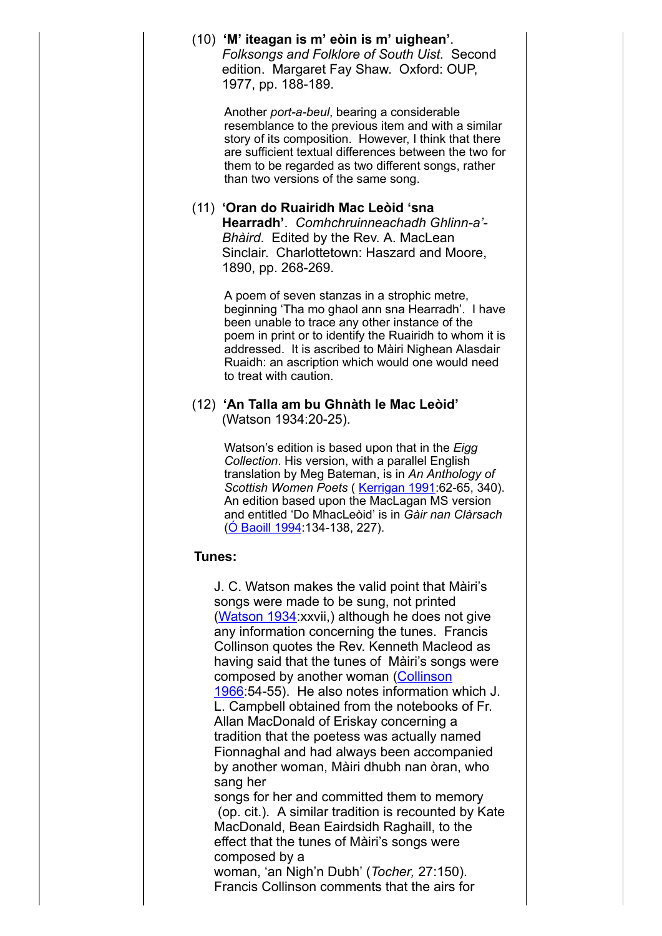|        | (10) 'M' iteagan is m' eòin is m' uighean'.<br>Folksongs and Folklore of South Uist. Second<br>edition. Margaret Fay Shaw. Oxford: OUP,<br>1977, pp. 188-189.                                                                                                                                                                                                                                                                                                                                                                                                                                                                                                                                                                                                                                                                                                                                                                                                         |  |
|--------|-----------------------------------------------------------------------------------------------------------------------------------------------------------------------------------------------------------------------------------------------------------------------------------------------------------------------------------------------------------------------------------------------------------------------------------------------------------------------------------------------------------------------------------------------------------------------------------------------------------------------------------------------------------------------------------------------------------------------------------------------------------------------------------------------------------------------------------------------------------------------------------------------------------------------------------------------------------------------|--|
|        | Another port-a-beul, bearing a considerable<br>resemblance to the previous item and with a similar<br>story of its composition. However, I think that there<br>are sufficient textual differences between the two for<br>them to be regarded as two different songs, rather<br>than two versions of the same song.                                                                                                                                                                                                                                                                                                                                                                                                                                                                                                                                                                                                                                                    |  |
|        | (11) 'Oran do Ruairidh Mac Leòid 'sna<br>Hearradh'. Comhchruinneachadh Ghlinn-a'-<br>Bhàird. Edited by the Rev. A. MacLean<br>Sinclair. Charlottetown: Haszard and Moore,<br>1890, pp. 268-269.                                                                                                                                                                                                                                                                                                                                                                                                                                                                                                                                                                                                                                                                                                                                                                       |  |
|        | A poem of seven stanzas in a strophic metre,<br>beginning 'Tha mo ghaol ann sna Hearradh'. I have<br>been unable to trace any other instance of the<br>poem in print or to identify the Ruairidh to whom it is<br>addressed. It is ascribed to Màiri Nighean Alasdair<br>Ruaidh: an ascription which would one would need<br>to treat with caution.                                                                                                                                                                                                                                                                                                                                                                                                                                                                                                                                                                                                                   |  |
|        | (12) 'An Talla am bu Ghnàth le Mac Leòid'<br>(Watson 1934:20-25).                                                                                                                                                                                                                                                                                                                                                                                                                                                                                                                                                                                                                                                                                                                                                                                                                                                                                                     |  |
|        | Watson's edition is based upon that in the Eigg<br>Collection. His version, with a parallel English<br>translation by Meg Bateman, is in An Anthology of<br>Scottish Women Poets (Kerrigan 1991:62-65, 340).<br>An edition based upon the MacLagan MS version<br>and entitled 'Do MhacLeòid' is in Gàir nan Clàrsach<br>(O Baoill 1994:134-138, 227).                                                                                                                                                                                                                                                                                                                                                                                                                                                                                                                                                                                                                 |  |
| Tunes: |                                                                                                                                                                                                                                                                                                                                                                                                                                                                                                                                                                                                                                                                                                                                                                                                                                                                                                                                                                       |  |
|        | J. C. Watson makes the valid point that Màiri's<br>songs were made to be sung, not printed<br>(Watson 1934: xxvii,) although he does not give<br>any information concerning the tunes. Francis<br>Collinson quotes the Rev. Kenneth Macleod as<br>having said that the tunes of Màiri's songs were<br>composed by another woman (Collinson<br>1966 54-55). He also notes information which J.<br>L. Campbell obtained from the notebooks of Fr.<br>Allan MacDonald of Eriskay concerning a<br>tradition that the poetess was actually named<br>Fionnaghal and had always been accompanied<br>by another woman, Màiri dhubh nan òran, who<br>sang her<br>songs for her and committed them to memory<br>(op. cit.). A similar tradition is recounted by Kate<br>MacDonald, Bean Eairdsidh Raghaill, to the<br>effect that the tunes of Màiri's songs were<br>composed by a<br>woman, 'an Nigh'n Dubh' (Tocher, 27:150).<br>Francis Collinson comments that the airs for |  |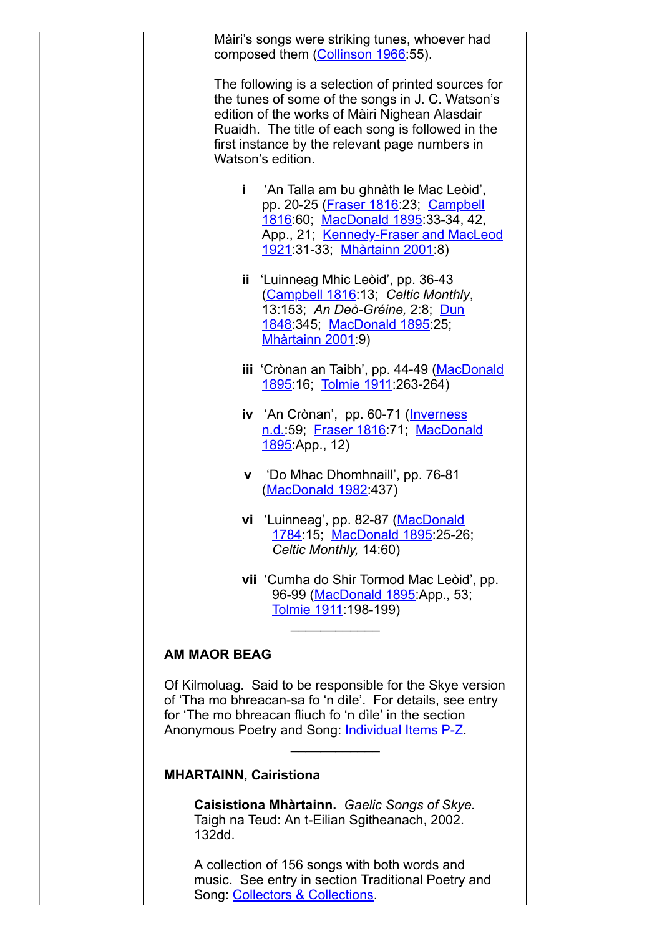Màiri's songs were striking tunes, whoever had composed them ([Collinson 1966:](http://www.skyelit.co.uk/refs1.html)55).

The following is a selection of printed sources for the tunes of some of the songs in J. C. Watson's edition of the works of Màiri Nighean Alasdair Ruaidh. The title of each song is followed in the first instance by the relevant page numbers in Watson's edition.

- **i** 'An Talla am bu ghnàth le Mac Leòid', pp. 20-25 ([Fraser 1816](http://www.skyelit.co.uk/refs1.html):23; Campbell [1816:60; MacDonald 1895:33-34, 42,](http://www.skyelit.co.uk/refs1.html) [App., 21; Kennedy-Fraser and MacLeod](http://www.skyelit.co.uk/refs1.html) 1921:31-33; [Mhàrtainn 2001:](http://www.skyelit.co.uk/refs3.html)8)
- **ii** 'Luinneag Mhic Leòid', pp. 36-43 ([Campbell 1816](http://www.skyelit.co.uk/refs1.html):13; *Celtic Monthly*, 13:153; *An Deò-Gréine,* 2:8; Dun [1848:345; MacDonald 1895:25;](http://www.skyelit.co.uk/refs1.html) **[Mhàrtainn 2001](http://www.skyelit.co.uk/refs3.html) 9)**
- **iii** ['Crònan an Taibh', pp. 44-49 \(MacDonald](http://www.skyelit.co.uk/refs2.html) 1895:16; [Tolmie 1911:](http://www.skyelit.co.uk/refs3.html)263-264)
- **iv** 'An Crònan', pp. 60-71 (Inverness [n.d.:59; Fraser 1816:71; MacDonald](http://www.skyelit.co.uk/refs2.html) 1895:App., 12)
- **v** 'Do Mhac Dhomhnaill', pp. 76-81 ([MacDonald 1982:](http://www.skyelit.co.uk/refs2.html)437)
- **vi** 'Luinneag', pp. 82-87 (MacDonald [1784:15; MacDonald 1895:25-26](http://www.skyelit.co.uk/refs2.html); *Celtic Monthly,* 14:60)
- **vii** 'Cumha do Shir Tormod Mac Leòid', pp. 96-99 ([MacDonald 1895](http://www.skyelit.co.uk/refs2.html):App., 53; Tolmie 1911 198-199)  $\frac{1}{2}$

## **AM MAOR BEAG**

Of Kilmoluag. Said to be responsible for the Skye version of 'Tha mo bhreacan-sa fo 'n dìle'. For details, see entry for 'The mo bhreacan fliuch fo 'n dìle' in the section Anonymous Poetry and Song: [Individual Items P-Z.](http://www.skyelit.co.uk/poetry/anon6.html)

 $\frac{1}{2}$ 

#### **MHARTAINN, Cairistiona**

**Caisistiona Mhàrtainn.** *Gaelic Songs of Skye.* Taigh na Teud: An t-Eilian Sgitheanach, 2002. 132dd.

A collection of 156 songs with both words and music. See entry in section Traditional Poetry and Song: [Collectors & Collections](http://www.skyelit.co.uk/poetry/collect16.html).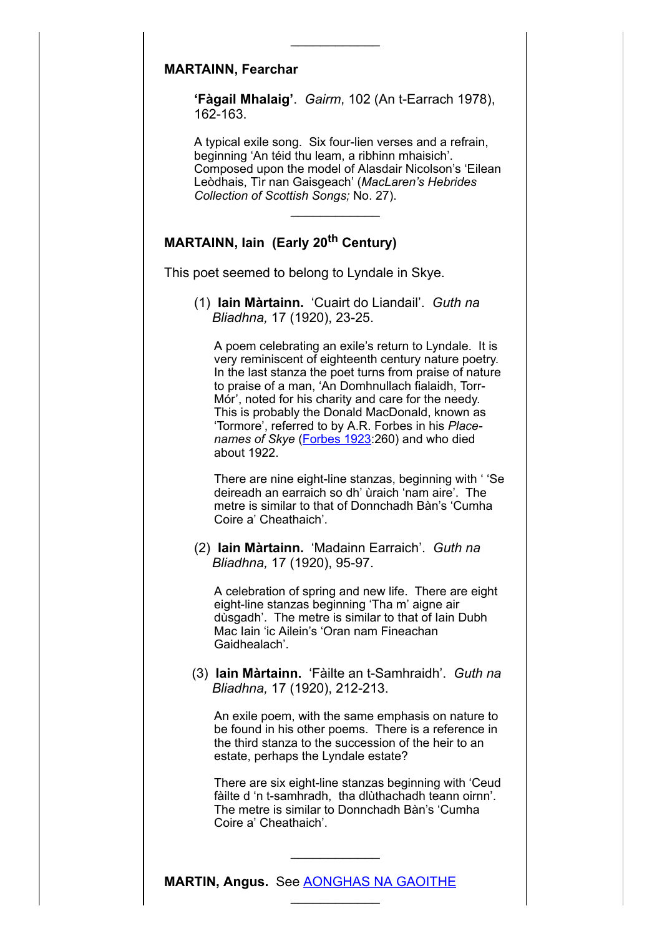## **MARTAINN, Fearchar**

**'Fàgail Mhalaig'**. *Gairm*, 102 (An t-Earrach 1978), 162-163.

 $\frac{1}{2}$ 

A typical exile song. Six four-lien verses and a refrain, beginning 'An téid thu leam, a ribhinn mhaisich'. Composed upon the model of Alasdair Nicolson's 'Eilean Leòdhais, Tìr nan Gaisgeach' (*MacLaren's Hebrides Collection of Scottish Songs;* No. 27).

# **MARTAINN, Iain (Early 20th Century)**

This poet seemed to belong to Lyndale in Skye.

(1) **Iain Màrtainn.** 'Cuairt do Liandail'. *Guth na Bliadhna,* 17 (1920), 23-25.

 $\frac{1}{2}$ 

A poem celebrating an exile's return to Lyndale. It is very reminiscent of eighteenth century nature poetry. In the last stanza the poet turns from praise of nature to praise of a man, 'An Domhnullach fialaidh, Torr-Mór', noted for his charity and care for the needy. This is probably the Donald MacDonald, known as 'Tormore', referred to by A.R. Forbes in his *Placenames of Skye* [\(Forbes](http://www.skyelit.co.uk/refs1.html) 1923:260) and who died about 1922.

There are nine eight-line stanzas, beginning with ' 'Se deireadh an earraich so dh' ùraich 'nam aire'. The metre is similar to that of Donnchadh Bàn's 'Cumha Coire a' Cheathaich'.

(2) **Iain Màrtainn.** 'Madainn Earraich'. *Guth na Bliadhna,* 17 (1920), 95-97.

A celebration of spring and new life. There are eight eight-line stanzas beginning 'Tha m' aigne air dùsgadh'. The metre is similar to that of Iain Dubh Mac Iain 'ic Ailein's 'Oran nam Fineachan Gaidhealach'.

(3) **Iain Màrtainn.** 'Fàilte an t-Samhraidh'. *Guth na Bliadhna,* 17 (1920), 212-213.

An exile poem, with the same emphasis on nature to be found in his other poems. There is a reference in the third stanza to the succession of the heir to an estate, perhaps the Lyndale estate?

There are six eight-line stanzas beginning with 'Ceud fàilte d 'n t-samhradh, tha dlùthachadh teann oirnn'. The metre is similar to Donnchadh Bàn's 'Cumha Coire a' Cheathaich'.

 $\frac{1}{2}$ 

 $\frac{1}{2}$ 

**MARTIN, Angus.** See [AONGHAS NA GAOITHE](http://www.skyelit.co.uk/poetry/poets1.html)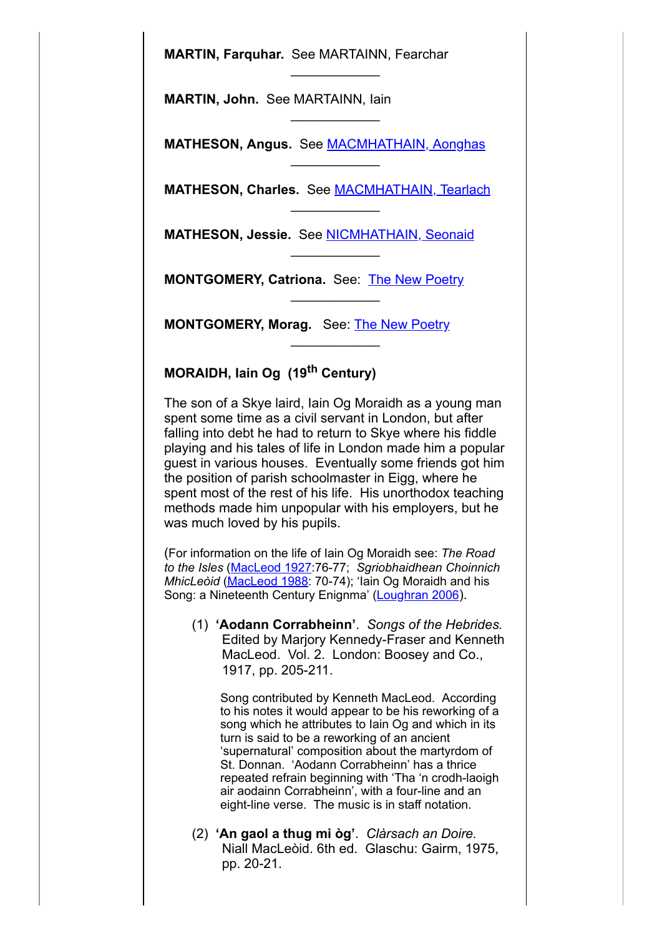**MARTIN, Farquhar.** See MARTAINN, Fearchar

**MARTIN, John.** See MARTAINN, Iain

**MATHESON, Angus.** See [MACMHATHAIN, Aonghas](http://www.skyelit.co.uk/poetry/poets13.html)

 $\frac{1}{2}$ 

 $\frac{1}{2}$ 

 $\frac{1}{2}$ 

 $\frac{1}{2}$ 

 $\frac{1}{2}$ 

 $\frac{1}{2}$ 

 $\frac{1}{2}$ 

**MATHESON, Charles.** See [MACMHATHAIN, Tearlach](http://www.skyelit.co.uk/poetry/poets13.html)

**MATHESON, Jessie.** See [NICMHATHAIN, Seonaid](http://www.skyelit.co.uk/poetry/poets16.html)

**MONTGOMERY, Catriona.** See: [The New Poetry](http://www.skyelit.co.uk/poetry/modern3.html)

**MONTGOMERY, Morag.** See: [The New Poetry](http://www.skyelit.co.uk/poetry/modern3.html)

# **MORAIDH, Iain Og (19th Century)**

The son of a Skye laird, Iain Og Moraidh as a young man spent some time as a civil servant in London, but after falling into debt he had to return to Skye where his fiddle playing and his tales of life in London made him a popular guest in various houses. Eventually some friends got him the position of parish schoolmaster in Eigg, where he spent most of the rest of his life. His unorthodox teaching methods made him unpopular with his employers, but he was much loved by his pupils.

(For information on the life of Iain Og Moraidh see: *The Road to the Isles* ([MacLeod](http://www.skyelit.co.uk/refs2.html) 1927:76-77; *Sgriobhaidhean Choinnich MhicLeòid* ([MacLeod](http://www.skyelit.co.uk/refs2.html) 1988: 70-74); 'lain Og Moraidh and his Song: a Nineteenth Century Enignma' [\(Loughran](http://www.skyelit.co.uk/refs1.html) 2006).

(1) **'Aodann Corrabheinn'**. *Songs of the Hebrides.* Edited by Marjory Kennedy-Fraser and Kenneth MacLeod. Vol. 2. London: Boosey and Co., 1917, pp. 205-211.

Song contributed by Kenneth MacLeod. According to his notes it would appear to be his reworking of a song which he attributes to Iain Og and which in its turn is said to be a reworking of an ancient 'supernatural' composition about the martyrdom of St. Donnan. 'Aodann Corrabheinn' has a thrice repeated refrain beginning with 'Tha 'n crodh-laoigh air aodainn Corrabheinn', with a four-line and an eight-line verse. The music is in staff notation.

(2) **'An gaol a thug mi òg'**. *Clàrsach an Doire.* Niall MacLeòid. 6th ed. Glaschu: Gairm, 1975, pp. 20-21.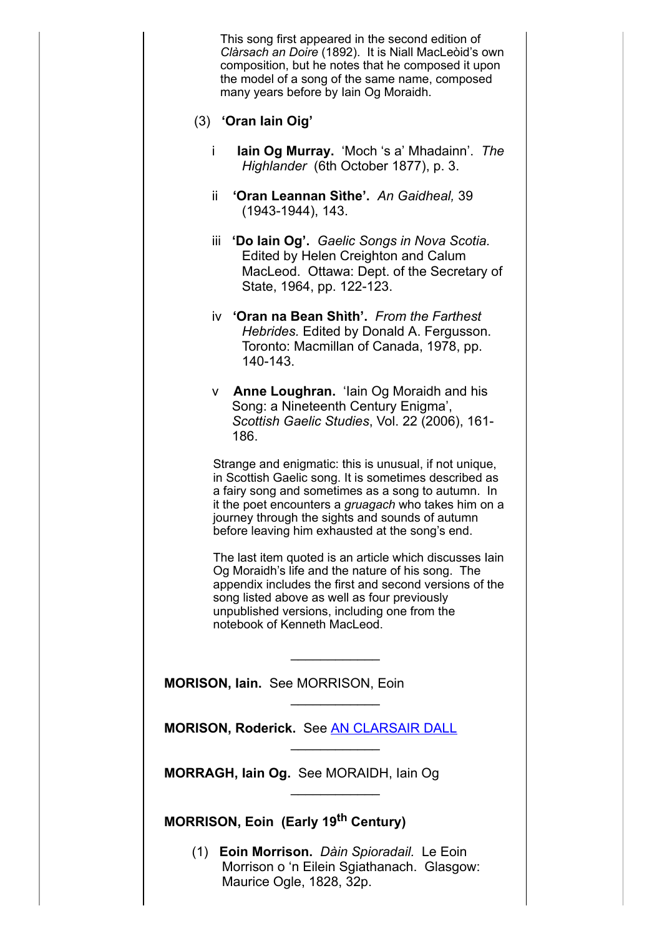This song first appeared in the second edition of *Clàrsach an Doire* (1892). It is Niall MacLeòid's own composition, but he notes that he composed it upon the model of a song of the same name, composed many years before by Iain Og Moraidh.

- (3) **'Oran Iain Oig'**
	- i **Iain Og Murray.** 'Moch 's a' Mhadainn'.*The Highlander* (6th October 1877), p. 3.
	- ii **'Oran Leannan Sìthe'.** *An Gaidheal,* 39 (1943-1944), 143.
	- iii **'Do Iain Og'.** *Gaelic Songs in Nova Scotia.* Edited by Helen Creighton and Calum MacLeod. Ottawa: Dept. of the Secretary of State, 1964, pp. 122-123.
	- iv **'Oran na Bean Shìth'.** *From the Farthest Hebrides.* Edited by Donald A. Fergusson. Toronto: Macmillan of Canada, 1978, pp. 140-143.
	- v **Anne Loughran.** 'Iain Og Moraidh and his Song: a Nineteenth Century Enigma', *Scottish Gaelic Studies*, Vol. 22 (2006), 161- 186.

Strange and enigmatic: this is unusual, if not unique, in Scottish Gaelic song. It is sometimes described as a fairy song and sometimes as a song to autumn. In it the poet encounters a *gruagach* who takes him on a journey through the sights and sounds of autumn before leaving him exhausted at the song's end.

The last item quoted is an article which discusses Iain Og Moraidh's life and the nature of his song. The appendix includes the first and second versions of the song listed above as well as four previously unpublished versions, including one from the notebook of Kenneth MacLeod.

 $\frac{1}{2}$ 

 $\frac{1}{2}$ 

 $\frac{1}{2}$ 

 $\frac{1}{2}$ 

**MORISON, Iain.** See MORRISON, Eoin

**MORISON, Roderick.** See [AN CLARSAIR DALL](http://www.skyelit.co.uk/poetry/poets1.html)

**MORRAGH, Iain Og.** See MORAIDH, Iain Og

**MORRISON, Eoin (Early 19th Century)**

(1) **Eoin Morrison.** *Dàin Spioradail.* Le Eoin Morrison o 'n Eilein Sgiathanach. Glasgow: Maurice Ogle, 1828, 32p.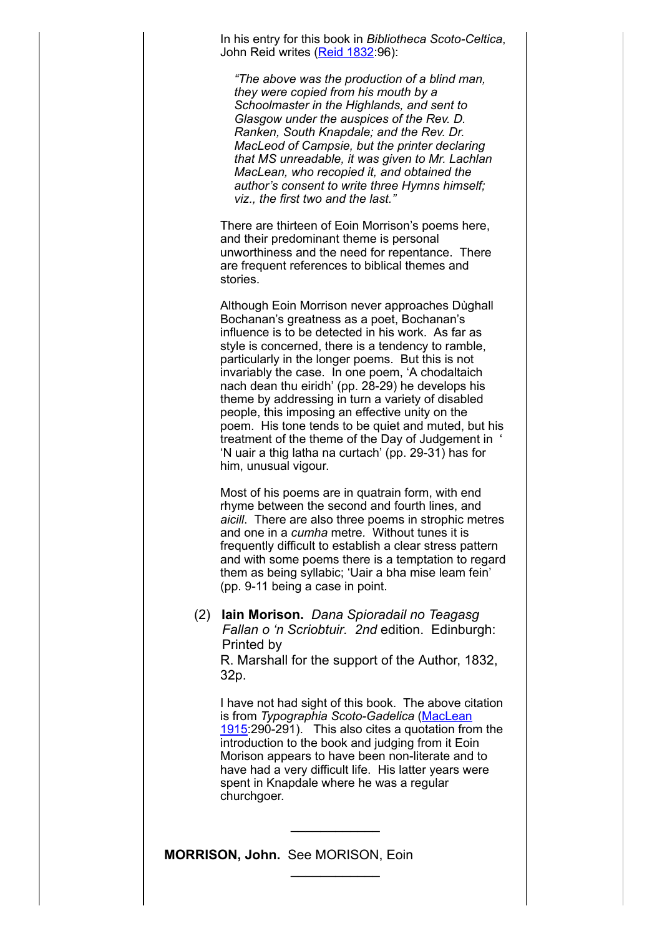In his entry for this book in *Bibliotheca Scoto-Celtica*, John Reid writes (<u>Reid 1832</u>:96):

*"The above was the production of a blind man, they were copied from his mouth by a Schoolmaster in the Highlands, and sent to Glasgow under the auspices of the Rev. D. Ranken, South Knapdale; and the Rev. Dr. MacLeod of Campsie, but the printer declaring that MS unreadable, it was given to Mr. Lachlan MacLean, who recopied it, and obtained the author's consent to write three Hymns himself; viz., the first two and the last."*

There are thirteen of Eoin Morrison's poems here, and their predominant theme is personal unworthiness and the need for repentance. There are frequent references to biblical themes and stories.

Although Eoin Morrison never approaches Dùghall Bochanan's greatness as a poet, Bochanan's influence is to be detected in his work. As far as style is concerned, there is a tendency to ramble, particularly in the longer poems. But this is not invariably the case. In one poem, 'A chodaltaich nach dean thu eiridh' (pp. 28-29) he develops his theme by addressing in turn a variety of disabled people, this imposing an effective unity on the poem. His tone tends to be quiet and muted, but his treatment of the theme of the Day of Judgement in ' 'N uair a thig latha na curtach' (pp. 29-31) has for him, unusual vigour.

Most of his poems are in quatrain form, with end rhyme between the second and fourth lines, and *aicill*. There are also three poems in strophic metres and one in a *cumha* metre*.* Without tunes it is frequently difficult to establish a clear stress pattern and with some poems there is a temptation to regard them as being syllabic; 'Uair a bha mise leam fein' (pp. 9-11 being a case in point.

(2) **Iain Morison.** *Dana Spioradail no Teagasg Fallan o 'n Scriobtuir. 2nd* edition. Edinburgh: Printed by R. Marshall for the support of the Author, 1832, 32p.

I have not had sight of this book. The above citation is from *Typographia [Scoto-Gadelica](http://www.skyelit.co.uk/refs2.html)* (MacLean 1915:290-291). This also cites a quotation from the introduction to the book and judging from it Eoin Morison appears to have been non-literate and to have had a very difficult life. His latter years were spent in Knapdale where he was a regular churchgoer.

 $\frac{1}{2}$ 

 $\frac{1}{2}$ 

**MORRISON, John.** See MORISON, Eoin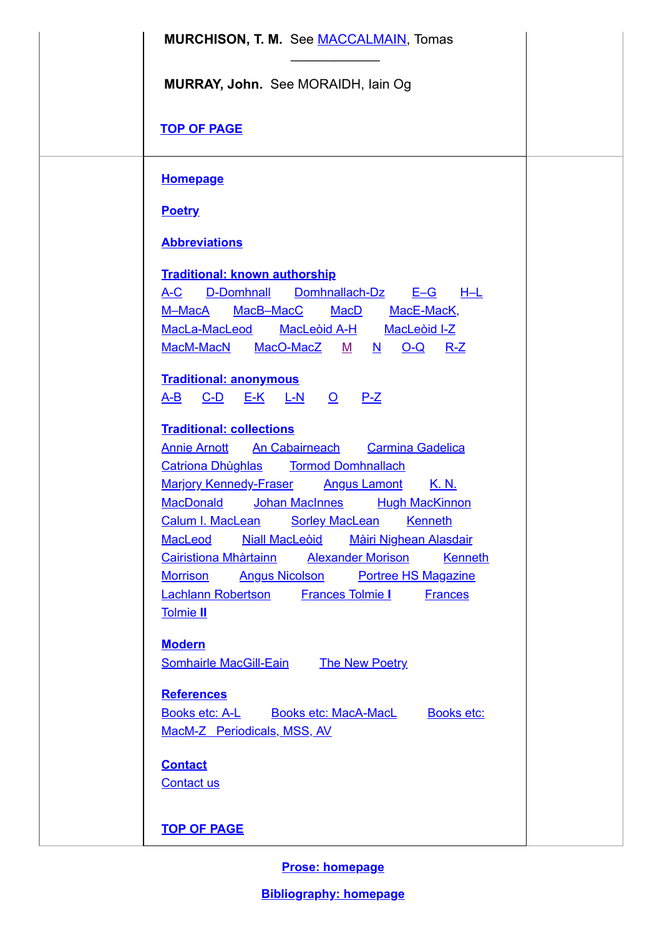| <b>MURCHISON, T. M.</b> See <b>MACCALMAIN</b> , Tomas                                                                                                                                                                                                                                                                                                                                                                                                                                                                        |
|------------------------------------------------------------------------------------------------------------------------------------------------------------------------------------------------------------------------------------------------------------------------------------------------------------------------------------------------------------------------------------------------------------------------------------------------------------------------------------------------------------------------------|
| MURRAY, John. See MORAIDH, Iain Og                                                                                                                                                                                                                                                                                                                                                                                                                                                                                           |
| <b>TOP OF PAGE</b>                                                                                                                                                                                                                                                                                                                                                                                                                                                                                                           |
| <b>Homepage</b>                                                                                                                                                                                                                                                                                                                                                                                                                                                                                                              |
| <b>Poetry</b>                                                                                                                                                                                                                                                                                                                                                                                                                                                                                                                |
| <b>Abbreviations</b>                                                                                                                                                                                                                                                                                                                                                                                                                                                                                                         |
| <b>Traditional: known authorship</b><br>D-Domhnall<br>Domhnallach-Dz<br>$E-G$ $H-L$<br><u>A-C</u><br>M-MacA MacB-MacC MacD MacE-MacK,<br>MacLa-MacLeod MacLeord A-H MacLeord I-Z<br><u>MacM-MacN MacO-MacZ M N</u><br><u>O-Q R-Z</u>                                                                                                                                                                                                                                                                                         |
| <b>Traditional: anonymous</b><br><u>C-D E-K L-N O P-Z</u><br><u>A-B</u>                                                                                                                                                                                                                                                                                                                                                                                                                                                      |
| <b>Traditional: collections</b><br><b>Annie Arnott</b> An Cabairneach<br><b>Carmina Gadelica</b><br><b>Marjory Kennedy-Fraser Angus Lamont</b><br><u>K. N.</u><br>MacDonald Johan MacInnes Hugh MacKinnon<br>Calum I. MacLean Sorley MacLean Kenneth<br><b>Niall MacLeoid</b><br><b>Màiri Nighean Alasdair</b><br>MacLeod<br>Cairistiona Mhàrtainn Alexander Morison<br>Kenneth<br><b>Angus Nicolson</b> Portree HS Magazine<br><b>Morrison</b><br>Lachlann Robertson Frances Tolmie I<br><b>Frances</b><br><b>Tolmie II</b> |
| <b>Modern</b><br><b>Somhairle MacGill-Eain</b><br><b>The New Poetry</b><br><b>References</b><br><u>Books etc: A-L Books etc: MacA-MacL</u><br><b>Books etc:</b><br>MacM-Z Periodicals, MSS, AV                                                                                                                                                                                                                                                                                                                               |
| <b>Contact</b><br><b>Contact us</b>                                                                                                                                                                                                                                                                                                                                                                                                                                                                                          |
| <b>TOP OF PAGE</b>                                                                                                                                                                                                                                                                                                                                                                                                                                                                                                           |

**Prose: [homepage](http://www.skyelit.co.uk/prose/index.html)**

**[Bibliography:](http://www.skyelit.co.uk/index.html) homepage**